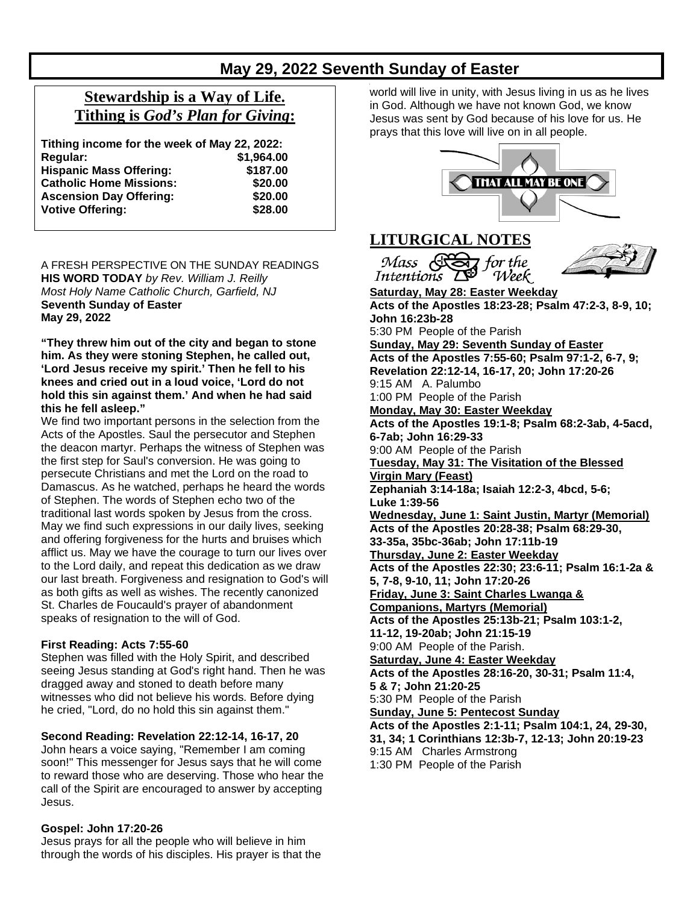# **May 29, 2022 Seventh Sunday of Easter**

# **Stewardship is a Way of Life. Tithing is** *God's Plan for Giving***:**

| Tithing income for the week of May 22, 2022: |            |
|----------------------------------------------|------------|
| Regular:                                     | \$1,964.00 |
| <b>Hispanic Mass Offering:</b>               | \$187.00   |
| <b>Catholic Home Missions:</b>               | \$20.00    |
| <b>Ascension Day Offering:</b>               | \$20.00    |
| <b>Votive Offering:</b>                      | \$28.00    |

A FRESH PERSPECTIVE ON THE SUNDAY READINGS **HIS WORD TODAY** *by Rev. William J. Reilly Most Holy Name Catholic Church, Garfield, NJ* **Seventh Sunday of Easter May 29, 2022**

**"They threw him out of the city and began to stone him. As they were stoning Stephen, he called out, 'Lord Jesus receive my spirit.' Then he fell to his knees and cried out in a loud voice, 'Lord do not hold this sin against them.' And when he had said this he fell asleep."**

We find two important persons in the selection from the Acts of the Apostles. Saul the persecutor and Stephen the deacon martyr. Perhaps the witness of Stephen was the first step for Saul's conversion. He was going to persecute Christians and met the Lord on the road to Damascus. As he watched, perhaps he heard the words of Stephen. The words of Stephen echo two of the traditional last words spoken by Jesus from the cross. May we find such expressions in our daily lives, seeking and offering forgiveness for the hurts and bruises which afflict us. May we have the courage to turn our lives over to the Lord daily, and repeat this dedication as we draw our last breath. Forgiveness and resignation to God's will as both gifts as well as wishes. The recently canonized St. Charles de Foucauld's prayer of abandonment speaks of resignation to the will of God.

#### **First Reading: Acts 7:55-60**

Stephen was filled with the Holy Spirit, and described seeing Jesus standing at God's right hand. Then he was dragged away and stoned to death before many witnesses who did not believe his words. Before dying he cried, "Lord, do no hold this sin against them."

#### **Second Reading: Revelation 22:12-14, 16-17, 20**

John hears a voice saying, "Remember I am coming soon!" This messenger for Jesus says that he will come to reward those who are deserving. Those who hear the call of the Spirit are encouraged to answer by accepting Jesus.

#### **Gospel: John 17:20-26**

Jesus prays for all the people who will believe in him through the words of his disciples. His prayer is that the world will live in unity, with Jesus living in us as he lives in God. Although we have not known God, we know Jesus was sent by God because of his love for us. He prays that this love will live on in all people.

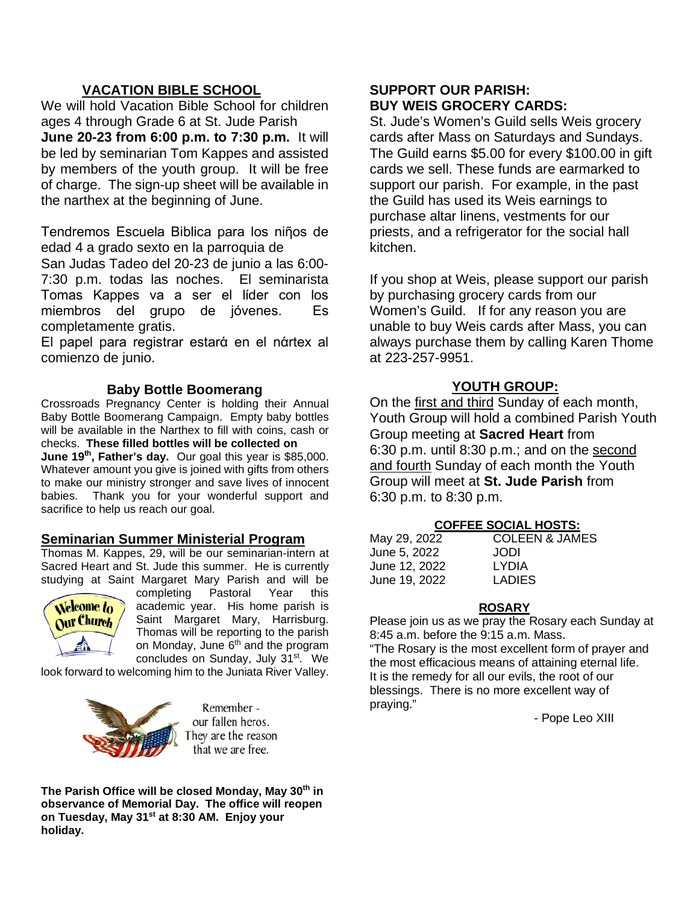## **VACATION BIBLE SCHOOL**

We will hold Vacation Bible School for children ages 4 through Grade 6 at St. Jude Parish **June 20-23 from 6:00 p.m. to 7:30 p.m.** It will be led by seminarian Tom Kappes and assisted by members of the youth group. It will be free of charge. The sign-up sheet will be available in the narthex at the beginning of June.

Tendremos Escuela Biblica para los niῆos de edad 4 a grado sexto en la parroquia de

San Judas Tadeo del 20-23 de junio a las 6:00- 7:30 p.m. todas las noches. El seminarista Tomas Kappes va a ser el lίder con los miembros del grupo de jόvenes. Es completamente gratis.

El papel para registrar estarά en el nάrtex al comienzo de junio.

## **Baby Bottle Boomerang**

Crossroads Pregnancy Center is holding their Annual Baby Bottle Boomerang Campaign. Empty baby bottles will be available in the Narthex to fill with coins, cash or checks. **These filled bottles will be collected on June 19th, Father's day.** Our goal this year is \$85,000. Whatever amount you give is joined with gifts from others to make our ministry stronger and save lives of innocent babies. Thank you for your wonderful support and sacrifice to help us reach our goal.

## **Seminarian Summer Ministerial Program**

Thomas M. Kappes, 29, will be our seminarian-intern at Sacred Heart and St. Jude this summer. He is currently studying at Saint Margaret Mary Parish and will be



completing Pastoral Year this academic year. His home parish is Saint Margaret Mary, Harrisburg. Thomas will be reporting to the parish on Monday, June  $6<sup>th</sup>$  and the program concludes on Sunday, July 31<sup>st</sup>. We

look forward to welcoming him to the Juniata River Valley.



Remember our fallen heros. They are the reason that we are free.

**The Parish Office will be closed Monday, May 30th in observance of Memorial Day. The office will reopen on Tuesday, May 31st at 8:30 AM. Enjoy your holiday.**

## **SUPPORT OUR PARISH: BUY WEIS GROCERY CARDS:**

St. Jude's Women's Guild sells Weis grocery cards after Mass on Saturdays and Sundays. The Guild earns \$5.00 for every \$100.00 in gift cards we sell. These funds are earmarked to support our parish. For example, in the past the Guild has used its Weis earnings to purchase altar linens, vestments for our priests, and a refrigerator for the social hall kitchen.

If you shop at Weis, please support our parish by purchasing grocery cards from our Women's Guild. If for any reason you are unable to buy Weis cards after Mass, you can always purchase them by calling Karen Thome at 223-257-9951.

## **YOUTH GROUP:**

On the first and third Sunday of each month, Youth Group will hold a combined Parish Youth Group meeting at **Sacred Heart** from 6:30 p.m. until 8:30 p.m.; and on the second and fourth Sunday of each month the Youth Group will meet at **St. Jude Parish** from 6:30 p.m. to 8:30 p.m.

#### **COFFEE SOCIAL HOSTS:**

| May 29, 2022  | <b>COLEEN &amp; JAMES</b> |
|---------------|---------------------------|
| June 5, 2022  | JODI                      |
| June 12, 2022 | <b>LYDIA</b>              |
| June 19, 2022 | <b>LADIES</b>             |

## **ROSARY**

Please join us as we pray the Rosary each Sunday at 8:45 a.m. before the 9:15 a.m. Mass.

"The Rosary is the most excellent form of prayer and the most efficacious means of attaining eternal life. It is the remedy for all our evils, the root of our blessings. There is no more excellent way of praying."

- Pope Leo XIII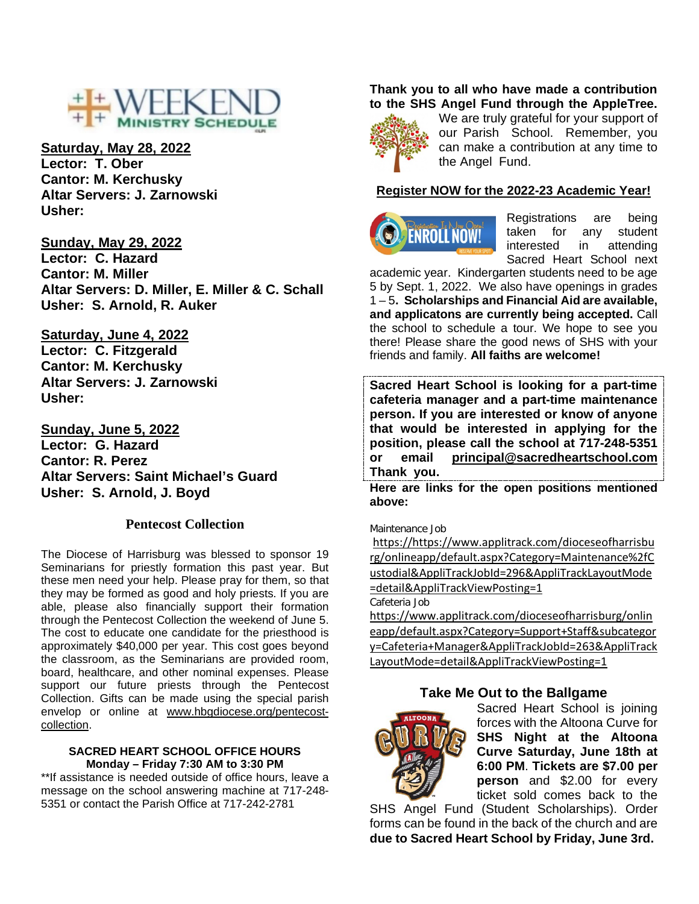

# **Saturday, May 28, 2022**

**Lector: T. Ober Cantor: M. Kerchusky Altar Servers: J. Zarnowski Usher:** 

**Sunday, May 29, 2022 Lector: C. Hazard Cantor: M. Miller Altar Servers: D. Miller, E. Miller & C. Schall Usher: S. Arnold, R. Auker** 

## **Saturday, June 4, 2022**

**Lector: C. Fitzgerald Cantor: M. Kerchusky Altar Servers: J. Zarnowski Usher:** 

**Sunday, June 5, 2022 Lector: G. Hazard Cantor: R. Perez Altar Servers: Saint Michael's Guard Usher: S. Arnold, J. Boyd** 

#### **Pentecost Collection**

The Diocese of Harrisburg was blessed to sponsor 19 Seminarians for priestly formation this past year. But these men need your help. Please pray for them, so that they may be formed as good and holy priests. If you are able, please also financially support their formation through the Pentecost Collection the weekend of June 5. The cost to educate one candidate for the priesthood is approximately \$40,000 per year. This cost goes beyond the classroom, as the Seminarians are provided room, board, healthcare, and other nominal expenses. Please support our future priests through the Pentecost Collection. Gifts can be made using the special parish envelop or online at [www.hbgdiocese.org/pentecost](http://www.hbgdiocese.org/pentecost-collection)[collection.](http://www.hbgdiocese.org/pentecost-collection)

#### **SACRED HEART SCHOOL OFFICE HOURS Monday – Friday 7:30 AM to 3:30 PM**

\*\*If assistance is needed outside of office hours, leave a message on the school answering machine at 717-248- 5351 or contact the Parish Office at 717-242-2781

#### **Thank you to all who have made a contribution to the SHS Angel Fund through the AppleTree.**



We are truly grateful for your support of our Parish School. Remember, you can make a contribution at any time to the Angel Fund.

#### **Register NOW for the 2022-23 Academic Year!**



Registrations are being<br>taken for any student taken for any interested in attending Sacred Heart School next

academic year. Kindergarten students need to be age 5 by Sept. 1, 2022. We also have openings in grades 1 – 5**. Scholarships and Financial Aid are available, and applicatons are currently being accepted.** Call the school to schedule a tour. We hope to see you there! Please share the good news of SHS with your friends and family. **All faiths are welcome!**

**Sacred Heart School is looking for a part-time cafeteria manager and a part-time maintenance person. If you are interested or know of anyone that would be interested in applying for the position, please call the school at 717-248-5351 or email [principal@sacredheartschool.com](mailto:principal@sacredheartschool.com)  Thank you.**

**Here are links for the open positions mentioned above:**

Maintenance Job

[https://https://www.applitrack.com/dioceseofharrisbu](https://www.applitrack.com/dioceseofharrisburg/onlineapp/default.aspx?Category=Maintenance%2fCustodial&AppliTrackJobId=296&AppliTrackLayoutMode=detail&AppliTrackViewPosting=1) [rg/onlineapp/default.aspx?Category=Maintenance%2fC](https://www.applitrack.com/dioceseofharrisburg/onlineapp/default.aspx?Category=Maintenance%2fCustodial&AppliTrackJobId=296&AppliTrackLayoutMode=detail&AppliTrackViewPosting=1) [ustodial&AppliTrackJobId=296&AppliTrackLayoutMode](https://www.applitrack.com/dioceseofharrisburg/onlineapp/default.aspx?Category=Maintenance%2fCustodial&AppliTrackJobId=296&AppliTrackLayoutMode=detail&AppliTrackViewPosting=1) [=detail&AppliTrackViewPosting=1](https://www.applitrack.com/dioceseofharrisburg/onlineapp/default.aspx?Category=Maintenance%2fCustodial&AppliTrackJobId=296&AppliTrackLayoutMode=detail&AppliTrackViewPosting=1)

Cafeteria Job

[https://www.applitrack.com/dioceseofharrisburg/onlin](https://www.applitrack.com/dioceseofharrisburg/onlineapp/default.aspx?Category=Support+Staff&subcategory=Cafeteria+Manager&AppliTrackJobId=263&AppliTrackLayoutMode=detail&AppliTrackViewPosting=1) [eapp/default.aspx?Category=Support+Staff&subcategor](https://www.applitrack.com/dioceseofharrisburg/onlineapp/default.aspx?Category=Support+Staff&subcategory=Cafeteria+Manager&AppliTrackJobId=263&AppliTrackLayoutMode=detail&AppliTrackViewPosting=1) [y=Cafeteria+Manager&AppliTrackJobId=263&AppliTrack](https://www.applitrack.com/dioceseofharrisburg/onlineapp/default.aspx?Category=Support+Staff&subcategory=Cafeteria+Manager&AppliTrackJobId=263&AppliTrackLayoutMode=detail&AppliTrackViewPosting=1) [LayoutMode=detail&AppliTrackViewPosting=1](https://www.applitrack.com/dioceseofharrisburg/onlineapp/default.aspx?Category=Support+Staff&subcategory=Cafeteria+Manager&AppliTrackJobId=263&AppliTrackLayoutMode=detail&AppliTrackViewPosting=1)

## **Take Me Out to the Ballgame**



Sacred Heart School is joining forces with the Altoona Curve for **SHS Night at the Altoona Curve Saturday, June 18th at 6:00 PM**. **Tickets are \$7.00 per person** and \$2.00 for every ticket sold comes back to the

SHS Angel Fund (Student Scholarships). Order forms can be found in the back of the church and are **due to Sacred Heart School by Friday, June 3rd.**